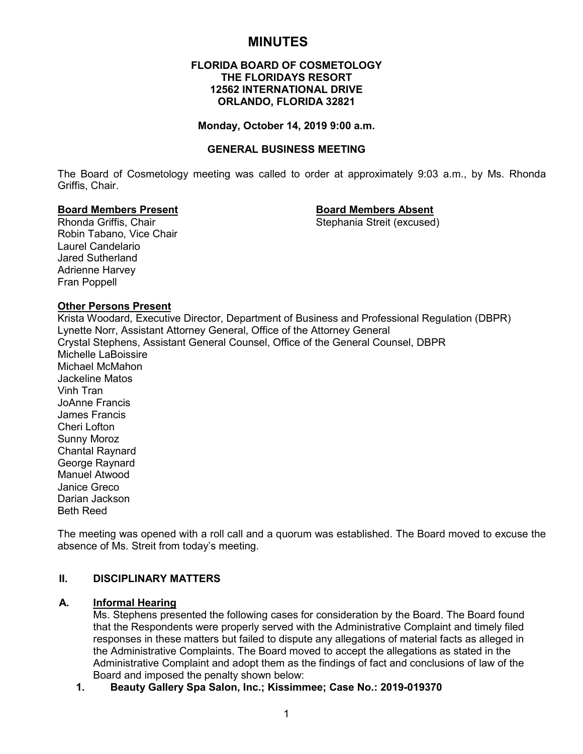# **MINUTES**

#### **FLORIDA BOARD OF COSMETOLOGY THE FLORIDAYS RESORT 12562 INTERNATIONAL DRIVE ORLANDO, FLORIDA 32821**

#### **Monday, October 14, 2019 9:00 a.m.**

#### **GENERAL BUSINESS MEETING**

The Board of Cosmetology meeting was called to order at approximately 9:03 a.m., by Ms. Rhonda Griffis, Chair.

#### **Board Members Present Board Members Absent**

Rhonda Griffis, Chair Stephania Streit (excused) Robin Tabano, Vice Chair Laurel Candelario Jared Sutherland Adrienne Harvey Fran Poppell

#### **Other Persons Present**

Krista Woodard, Executive Director, Department of Business and Professional Regulation (DBPR) Lynette Norr, Assistant Attorney General, Office of the Attorney General Crystal Stephens, Assistant General Counsel, Office of the General Counsel, DBPR Michelle LaBoissire Michael McMahon Jackeline Matos Vinh Tran JoAnne Francis James Francis Cheri Lofton Sunny Moroz Chantal Raynard George Raynard Manuel Atwood Janice Greco Darian Jackson Beth Reed

The meeting was opened with a roll call and a quorum was established. The Board moved to excuse the absence of Ms. Streit from today's meeting.

## **II. DISCIPLINARY MATTERS**

#### **A. Informal Hearing**

Ms. Stephens presented the following cases for consideration by the Board. The Board found that the Respondents were properly served with the Administrative Complaint and timely filed responses in these matters but failed to dispute any allegations of material facts as alleged in the Administrative Complaints. The Board moved to accept the allegations as stated in the Administrative Complaint and adopt them as the findings of fact and conclusions of law of the Board and imposed the penalty shown below:

**1. Beauty Gallery Spa Salon, Inc.; Kissimmee; Case No.: 2019-019370**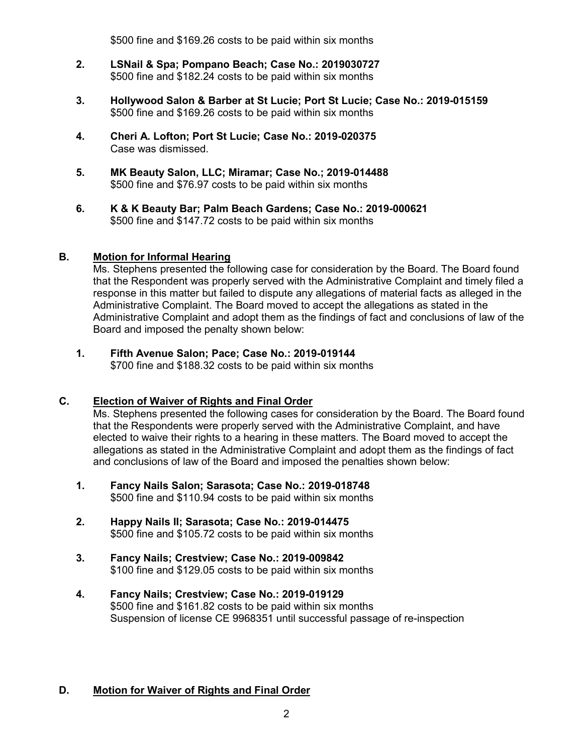\$500 fine and \$169.26 costs to be paid within six months

- **2. LSNail & Spa; Pompano Beach; Case No.: 2019030727** \$500 fine and \$182.24 costs to be paid within six months
- **3. Hollywood Salon & Barber at St Lucie; Port St Lucie; Case No.: 2019-015159** \$500 fine and \$169.26 costs to be paid within six months
- **4. Cheri A. Lofton; Port St Lucie; Case No.: 2019-020375** Case was dismissed.
- **5. MK Beauty Salon, LLC; Miramar; Case No.; 2019-014488** \$500 fine and \$76.97 costs to be paid within six months
- **6. K & K Beauty Bar; Palm Beach Gardens; Case No.: 2019-000621** \$500 fine and \$147.72 costs to be paid within six months

## **B. Motion for Informal Hearing**

Ms. Stephens presented the following case for consideration by the Board. The Board found that the Respondent was properly served with the Administrative Complaint and timely filed a response in this matter but failed to dispute any allegations of material facts as alleged in the Administrative Complaint. The Board moved to accept the allegations as stated in the Administrative Complaint and adopt them as the findings of fact and conclusions of law of the Board and imposed the penalty shown below:

#### **1. Fifth Avenue Salon; Pace; Case No.: 2019-019144** \$700 fine and \$188.32 costs to be paid within six months

# **C. Election of Waiver of Rights and Final Order**

Ms. Stephens presented the following cases for consideration by the Board. The Board found that the Respondents were properly served with the Administrative Complaint, and have elected to waive their rights to a hearing in these matters. The Board moved to accept the allegations as stated in the Administrative Complaint and adopt them as the findings of fact and conclusions of law of the Board and imposed the penalties shown below:

- **1. Fancy Nails Salon; Sarasota; Case No.: 2019-018748** \$500 fine and \$110.94 costs to be paid within six months
- **2. Happy Nails II; Sarasota; Case No.: 2019-014475** \$500 fine and \$105.72 costs to be paid within six months
- **3. Fancy Nails; Crestview; Case No.: 2019-009842** \$100 fine and \$129.05 costs to be paid within six months
- **4. Fancy Nails; Crestview; Case No.: 2019-019129** \$500 fine and \$161.82 costs to be paid within six months Suspension of license CE 9968351 until successful passage of re-inspection

## **D. Motion for Waiver of Rights and Final Order**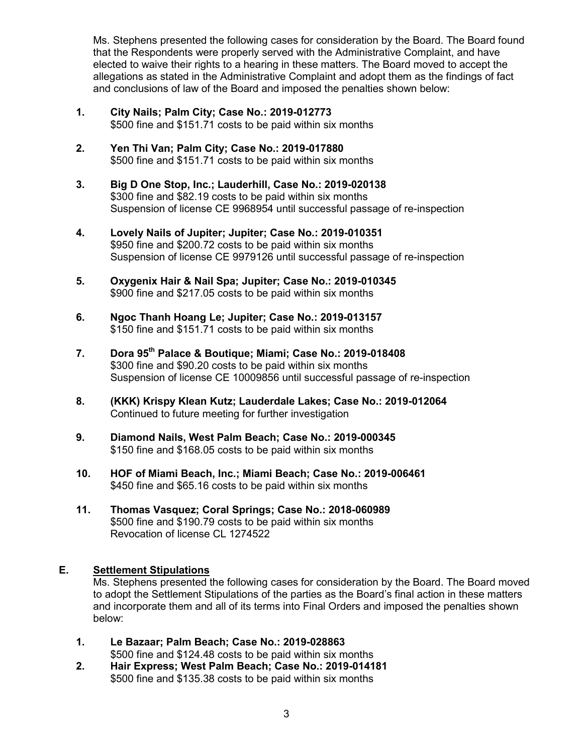Ms. Stephens presented the following cases for consideration by the Board. The Board found that the Respondents were properly served with the Administrative Complaint, and have elected to waive their rights to a hearing in these matters. The Board moved to accept the allegations as stated in the Administrative Complaint and adopt them as the findings of fact and conclusions of law of the Board and imposed the penalties shown below:

- **1. City Nails; Palm City; Case No.: 2019-012773** \$500 fine and \$151.71 costs to be paid within six months
- **2. Yen Thi Van; Palm City; Case No.: 2019-017880** \$500 fine and \$151.71 costs to be paid within six months
- **3. Big D One Stop, Inc.; Lauderhill, Case No.: 2019-020138** \$300 fine and \$82.19 costs to be paid within six months Suspension of license CE 9968954 until successful passage of re-inspection
- **4. Lovely Nails of Jupiter; Jupiter; Case No.: 2019-010351** \$950 fine and \$200.72 costs to be paid within six months Suspension of license CE 9979126 until successful passage of re-inspection
- **5. Oxygenix Hair & Nail Spa; Jupiter; Case No.: 2019-010345** \$900 fine and \$217.05 costs to be paid within six months
- **6. Ngoc Thanh Hoang Le; Jupiter; Case No.: 2019-013157** \$150 fine and \$151.71 costs to be paid within six months
- **7. Dora 95th Palace & Boutique; Miami; Case No.: 2019-018408** \$300 fine and \$90.20 costs to be paid within six months Suspension of license CE 10009856 until successful passage of re-inspection
- **8. (KKK) Krispy Klean Kutz; Lauderdale Lakes; Case No.: 2019-012064** Continued to future meeting for further investigation
- **9. Diamond Nails, West Palm Beach; Case No.: 2019-000345** \$150 fine and \$168.05 costs to be paid within six months
- **10. HOF of Miami Beach, Inc.; Miami Beach; Case No.: 2019-006461** \$450 fine and \$65.16 costs to be paid within six months
- **11. Thomas Vasquez; Coral Springs; Case No.: 2018-060989** \$500 fine and \$190.79 costs to be paid within six months Revocation of license CL 1274522

## **E. Settlement Stipulations**

Ms. Stephens presented the following cases for consideration by the Board. The Board moved to adopt the Settlement Stipulations of the parties as the Board's final action in these matters and incorporate them and all of its terms into Final Orders and imposed the penalties shown below:

- **1. Le Bazaar; Palm Beach; Case No.: 2019-028863** \$500 fine and \$124.48 costs to be paid within six months
- **2. Hair Express; West Palm Beach; Case No.: 2019-014181** \$500 fine and \$135.38 costs to be paid within six months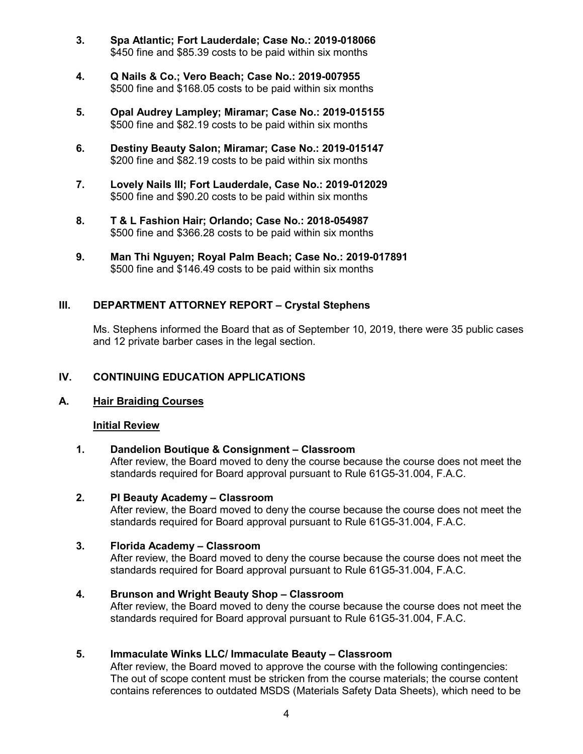- **3. Spa Atlantic; Fort Lauderdale; Case No.: 2019-018066** \$450 fine and \$85.39 costs to be paid within six months
- **4. Q Nails & Co.; Vero Beach; Case No.: 2019-007955** \$500 fine and \$168.05 costs to be paid within six months
- **5. Opal Audrey Lampley; Miramar; Case No.: 2019-015155** \$500 fine and \$82.19 costs to be paid within six months
- **6. Destiny Beauty Salon; Miramar; Case No.: 2019-015147** \$200 fine and \$82.19 costs to be paid within six months
- **7. Lovely Nails III; Fort Lauderdale, Case No.: 2019-012029** \$500 fine and \$90.20 costs to be paid within six months
- **8. T & L Fashion Hair; Orlando; Case No.: 2018-054987** \$500 fine and \$366.28 costs to be paid within six months
- **9. Man Thi Nguyen; Royal Palm Beach; Case No.: 2019-017891**  \$500 fine and \$146.49 costs to be paid within six months

## **III. DEPARTMENT ATTORNEY REPORT – Crystal Stephens**

Ms. Stephens informed the Board that as of September 10, 2019, there were 35 public cases and 12 private barber cases in the legal section.

## **IV. CONTINUING EDUCATION APPLICATIONS**

## **A. Hair Braiding Courses**

#### **Initial Review**

**1. Dandelion Boutique & Consignment – Classroom** After review, the Board moved to deny the course because the course does not meet the standards required for Board approval pursuant to Rule 61G5-31.004, F.A.C.

### **2. PI Beauty Academy – Classroom**

After review, the Board moved to deny the course because the course does not meet the standards required for Board approval pursuant to Rule 61G5-31.004, F.A.C.

#### **3. Florida Academy – Classroom**

After review, the Board moved to deny the course because the course does not meet the standards required for Board approval pursuant to Rule 61G5-31.004, F.A.C.

#### **4. Brunson and Wright Beauty Shop – Classroom**

After review, the Board moved to deny the course because the course does not meet the standards required for Board approval pursuant to Rule 61G5-31.004, F.A.C.

## **5. Immaculate Winks LLC/ Immaculate Beauty – Classroom**

After review, the Board moved to approve the course with the following contingencies: The out of scope content must be stricken from the course materials; the course content contains references to outdated MSDS (Materials Safety Data Sheets), which need to be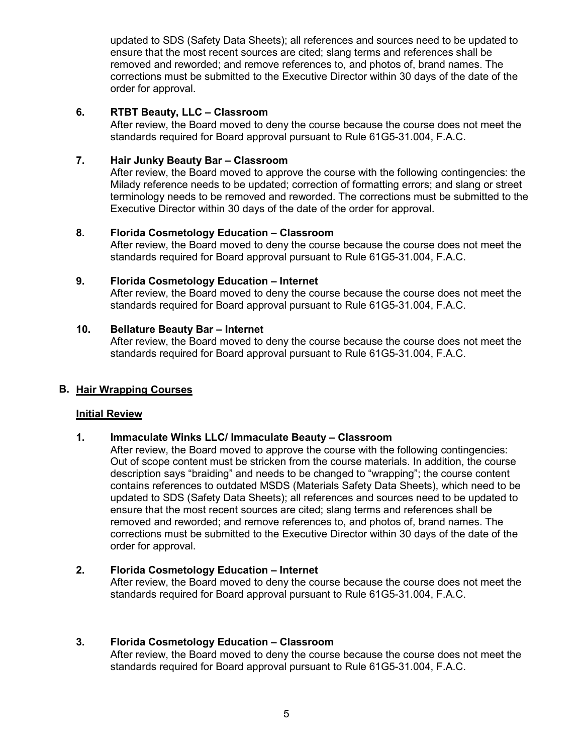updated to SDS (Safety Data Sheets); all references and sources need to be updated to ensure that the most recent sources are cited; slang terms and references shall be removed and reworded; and remove references to, and photos of, brand names. The corrections must be submitted to the Executive Director within 30 days of the date of the order for approval.

## **6. RTBT Beauty, LLC – Classroom**

After review, the Board moved to deny the course because the course does not meet the standards required for Board approval pursuant to Rule 61G5-31.004, F.A.C.

## **7. Hair Junky Beauty Bar – Classroom**

After review, the Board moved to approve the course with the following contingencies: the Milady reference needs to be updated; correction of formatting errors; and slang or street terminology needs to be removed and reworded. The corrections must be submitted to the Executive Director within 30 days of the date of the order for approval.

## **8. Florida Cosmetology Education – Classroom**

After review, the Board moved to deny the course because the course does not meet the standards required for Board approval pursuant to Rule 61G5-31.004, F.A.C.

## **9. Florida Cosmetology Education – Internet**

After review, the Board moved to deny the course because the course does not meet the standards required for Board approval pursuant to Rule 61G5-31.004, F.A.C.

## **10. Bellature Beauty Bar – Internet**

After review, the Board moved to deny the course because the course does not meet the standards required for Board approval pursuant to Rule 61G5-31.004, F.A.C.

## **B. Hair Wrapping Courses**

## **Initial Review**

## **1. Immaculate Winks LLC/ Immaculate Beauty – Classroom**

After review, the Board moved to approve the course with the following contingencies: Out of scope content must be stricken from the course materials. In addition, the course description says "braiding" and needs to be changed to "wrapping"; the course content contains references to outdated MSDS (Materials Safety Data Sheets), which need to be updated to SDS (Safety Data Sheets); all references and sources need to be updated to ensure that the most recent sources are cited; slang terms and references shall be removed and reworded; and remove references to, and photos of, brand names. The corrections must be submitted to the Executive Director within 30 days of the date of the order for approval.

## **2. Florida Cosmetology Education – Internet**

After review, the Board moved to deny the course because the course does not meet the standards required for Board approval pursuant to Rule 61G5-31.004, F.A.C.

## **3. Florida Cosmetology Education – Classroom**

After review, the Board moved to deny the course because the course does not meet the standards required for Board approval pursuant to Rule 61G5-31.004, F.A.C.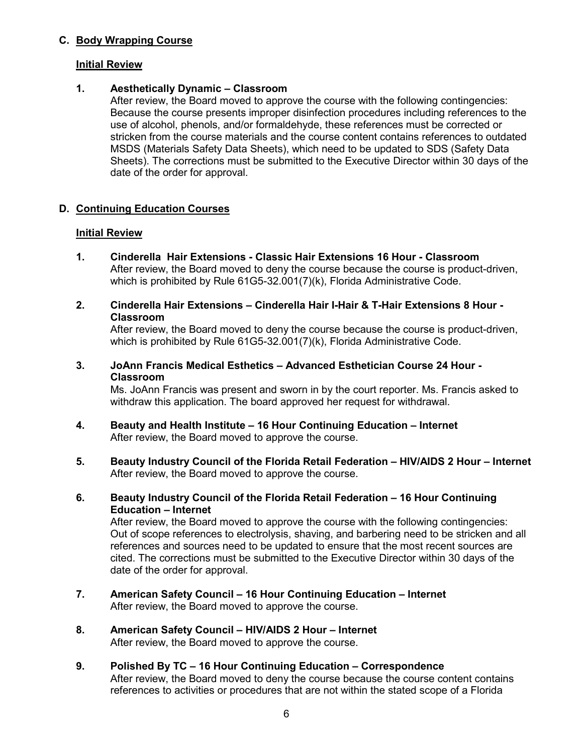## **C. Body Wrapping Course**

#### **Initial Review**

## **1. Aesthetically Dynamic – Classroom**

After review, the Board moved to approve the course with the following contingencies: Because the course presents improper disinfection procedures including references to the use of alcohol, phenols, and/or formaldehyde, these references must be corrected or stricken from the course materials and the course content contains references to outdated MSDS (Materials Safety Data Sheets), which need to be updated to SDS (Safety Data Sheets). The corrections must be submitted to the Executive Director within 30 days of the date of the order for approval.

## **D. Continuing Education Courses**

## **Initial Review**

- **1. Cinderella Hair Extensions - Classic Hair Extensions 16 Hour - Classroom** After review, the Board moved to deny the course because the course is product-driven, which is prohibited by Rule 61G5-32.001(7)(k), Florida Administrative Code.
- **2. Cinderella Hair Extensions – Cinderella Hair I-Hair & T-Hair Extensions 8 Hour - Classroom**

After review, the Board moved to deny the course because the course is product-driven, which is prohibited by Rule 61G5-32.001(7)(k), Florida Administrative Code.

**3. JoAnn Francis Medical Esthetics – Advanced Esthetician Course 24 Hour - Classroom**

Ms. JoAnn Francis was present and sworn in by the court reporter. Ms. Francis asked to withdraw this application. The board approved her request for withdrawal.

- **4. Beauty and Health Institute – 16 Hour Continuing Education – Internet** After review, the Board moved to approve the course.
- **5. Beauty Industry Council of the Florida Retail Federation – HIV/AIDS 2 Hour – Internet** After review, the Board moved to approve the course.
- **6. Beauty Industry Council of the Florida Retail Federation – 16 Hour Continuing Education – Internet**

After review, the Board moved to approve the course with the following contingencies: Out of scope references to electrolysis, shaving, and barbering need to be stricken and all references and sources need to be updated to ensure that the most recent sources are cited. The corrections must be submitted to the Executive Director within 30 days of the date of the order for approval.

- **7. American Safety Council – 16 Hour Continuing Education – Internet** After review, the Board moved to approve the course.
- **8. American Safety Council – HIV/AIDS 2 Hour – Internet** After review, the Board moved to approve the course.
- **9. Polished By TC – 16 Hour Continuing Education – Correspondence** After review, the Board moved to deny the course because the course content contains references to activities or procedures that are not within the stated scope of a Florida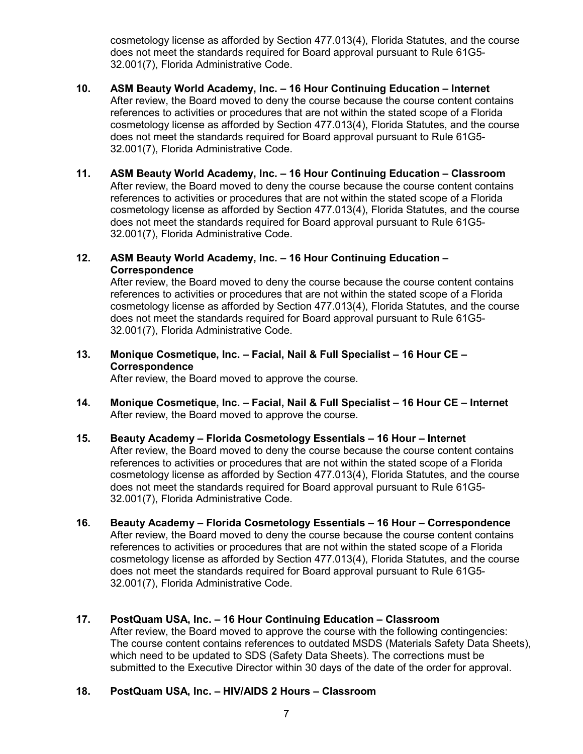cosmetology license as afforded by Section 477.013(4), Florida Statutes, and the course does not meet the standards required for Board approval pursuant to Rule 61G5- 32.001(7), Florida Administrative Code.

- **10. ASM Beauty World Academy, Inc. – 16 Hour Continuing Education – Internet** After review, the Board moved to deny the course because the course content contains references to activities or procedures that are not within the stated scope of a Florida cosmetology license as afforded by Section 477.013(4), Florida Statutes, and the course does not meet the standards required for Board approval pursuant to Rule 61G5- 32.001(7), Florida Administrative Code.
- **11. ASM Beauty World Academy, Inc. – 16 Hour Continuing Education – Classroom** After review, the Board moved to deny the course because the course content contains references to activities or procedures that are not within the stated scope of a Florida cosmetology license as afforded by Section 477.013(4), Florida Statutes, and the course does not meet the standards required for Board approval pursuant to Rule 61G5- 32.001(7), Florida Administrative Code.

#### **12. ASM Beauty World Academy, Inc. – 16 Hour Continuing Education – Correspondence**

After review, the Board moved to deny the course because the course content contains references to activities or procedures that are not within the stated scope of a Florida cosmetology license as afforded by Section 477.013(4), Florida Statutes, and the course does not meet the standards required for Board approval pursuant to Rule 61G5- 32.001(7), Florida Administrative Code.

**13. Monique Cosmetique, Inc. – Facial, Nail & Full Specialist – 16 Hour CE – Correspondence**

After review, the Board moved to approve the course.

- **14. Monique Cosmetique, Inc. – Facial, Nail & Full Specialist – 16 Hour CE – Internet** After review, the Board moved to approve the course.
- **15. Beauty Academy – Florida Cosmetology Essentials – 16 Hour – Internet** After review, the Board moved to deny the course because the course content contains references to activities or procedures that are not within the stated scope of a Florida cosmetology license as afforded by Section 477.013(4), Florida Statutes, and the course does not meet the standards required for Board approval pursuant to Rule 61G5- 32.001(7), Florida Administrative Code.
- **16. Beauty Academy – Florida Cosmetology Essentials – 16 Hour – Correspondence** After review, the Board moved to deny the course because the course content contains references to activities or procedures that are not within the stated scope of a Florida cosmetology license as afforded by Section 477.013(4), Florida Statutes, and the course does not meet the standards required for Board approval pursuant to Rule 61G5- 32.001(7), Florida Administrative Code.

## **17. PostQuam USA, Inc. – 16 Hour Continuing Education – Classroom**

After review, the Board moved to approve the course with the following contingencies: The course content contains references to outdated MSDS (Materials Safety Data Sheets), which need to be updated to SDS (Safety Data Sheets). The corrections must be submitted to the Executive Director within 30 days of the date of the order for approval.

## **18. PostQuam USA, Inc. – HIV/AIDS 2 Hours – Classroom**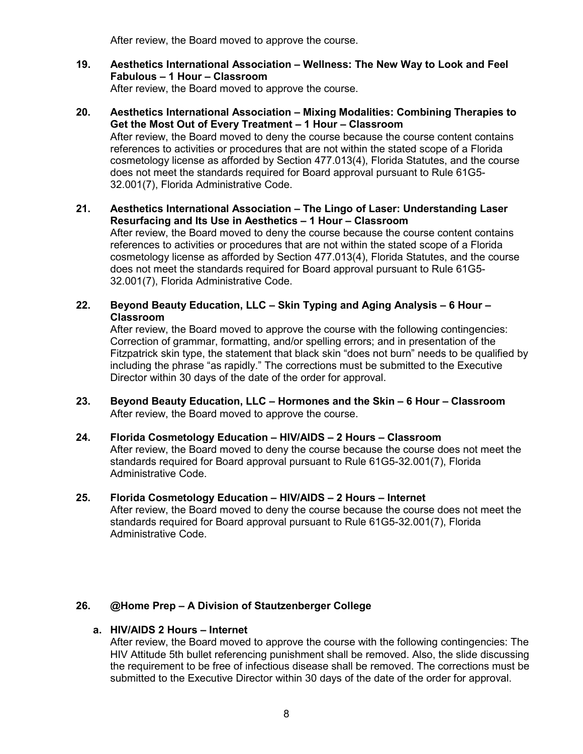After review, the Board moved to approve the course.

- **19. Aesthetics International Association – Wellness: The New Way to Look and Feel Fabulous – 1 Hour – Classroom** After review, the Board moved to approve the course.
- **20. Aesthetics International Association – Mixing Modalities: Combining Therapies to Get the Most Out of Every Treatment – 1 Hour – Classroom** After review, the Board moved to deny the course because the course content contains references to activities or procedures that are not within the stated scope of a Florida cosmetology license as afforded by Section 477.013(4), Florida Statutes, and the course does not meet the standards required for Board approval pursuant to Rule 61G5- 32.001(7), Florida Administrative Code.
- **21. Aesthetics International Association – The Lingo of Laser: Understanding Laser Resurfacing and Its Use in Aesthetics – 1 Hour – Classroom** After review, the Board moved to deny the course because the course content contains references to activities or procedures that are not within the stated scope of a Florida cosmetology license as afforded by Section 477.013(4), Florida Statutes, and the course does not meet the standards required for Board approval pursuant to Rule 61G5- 32.001(7), Florida Administrative Code.
- **22. Beyond Beauty Education, LLC – Skin Typing and Aging Analysis – 6 Hour – Classroom**

After review, the Board moved to approve the course with the following contingencies: Correction of grammar, formatting, and/or spelling errors; and in presentation of the Fitzpatrick skin type, the statement that black skin "does not burn" needs to be qualified by including the phrase "as rapidly." The corrections must be submitted to the Executive Director within 30 days of the date of the order for approval.

- **23. Beyond Beauty Education, LLC – Hormones and the Skin – 6 Hour – Classroom** After review, the Board moved to approve the course.
- **24. Florida Cosmetology Education – HIV/AIDS – 2 Hours – Classroom** After review, the Board moved to deny the course because the course does not meet the standards required for Board approval pursuant to Rule 61G5-32.001(7), Florida Administrative Code.
- **25. Florida Cosmetology Education – HIV/AIDS – 2 Hours – Internet** After review, the Board moved to deny the course because the course does not meet the standards required for Board approval pursuant to Rule 61G5-32.001(7), Florida Administrative Code.

## **26. @Home Prep – A Division of Stautzenberger College**

## **a. HIV/AIDS 2 Hours – Internet**

After review, the Board moved to approve the course with the following contingencies: The HIV Attitude 5th bullet referencing punishment shall be removed. Also, the slide discussing the requirement to be free of infectious disease shall be removed. The corrections must be submitted to the Executive Director within 30 days of the date of the order for approval.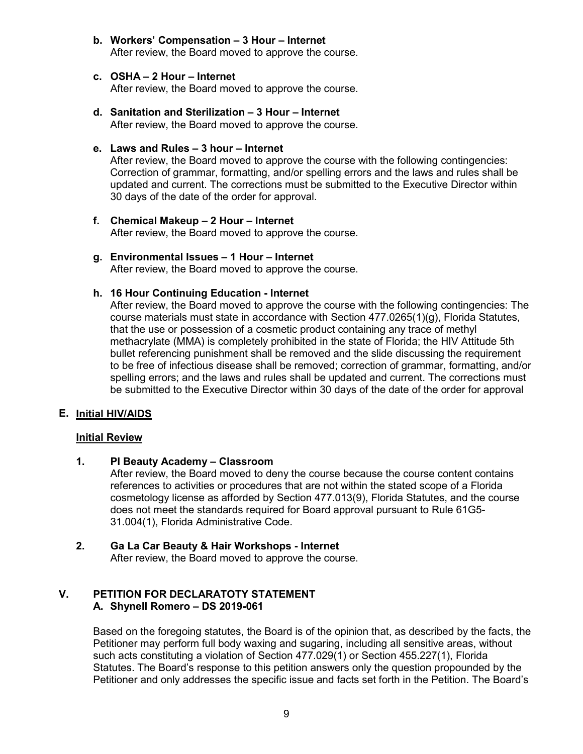**b. Workers' Compensation – 3 Hour – Internet** After review, the Board moved to approve the course.

### **c. OSHA – 2 Hour – Internet**

After review, the Board moved to approve the course.

**d. Sanitation and Sterilization – 3 Hour – Internet** After review, the Board moved to approve the course.

#### **e. Laws and Rules – 3 hour – Internet**

After review, the Board moved to approve the course with the following contingencies: Correction of grammar, formatting, and/or spelling errors and the laws and rules shall be updated and current. The corrections must be submitted to the Executive Director within 30 days of the date of the order for approval.

- **f. Chemical Makeup – 2 Hour – Internet** After review, the Board moved to approve the course.
- **g. Environmental Issues – 1 Hour – Internet** After review, the Board moved to approve the course.

#### **h. 16 Hour Continuing Education - Internet**

After review, the Board moved to approve the course with the following contingencies: The course materials must state in accordance with Section  $477.0265(1)(q)$ , Florida Statutes, that the use or possession of a cosmetic product containing any trace of methyl methacrylate (MMA) is completely prohibited in the state of Florida; the HIV Attitude 5th bullet referencing punishment shall be removed and the slide discussing the requirement to be free of infectious disease shall be removed; correction of grammar, formatting, and/or spelling errors; and the laws and rules shall be updated and current. The corrections must be submitted to the Executive Director within 30 days of the date of the order for approval

## **E. Initial HIV/AIDS**

#### **Initial Review**

## **1. PI Beauty Academy – Classroom**

After review, the Board moved to deny the course because the course content contains references to activities or procedures that are not within the stated scope of a Florida cosmetology license as afforded by Section 477.013(9), Florida Statutes, and the course does not meet the standards required for Board approval pursuant to Rule 61G5- 31.004(1), Florida Administrative Code.

## **2. Ga La Car Beauty & Hair Workshops - Internet**

After review, the Board moved to approve the course.

## **V. PETITION FOR DECLARATOTY STATEMENT A. Shynell Romero – DS 2019-061**

Based on the foregoing statutes, the Board is of the opinion that, as described by the facts, the Petitioner may perform full body waxing and sugaring, including all sensitive areas, without such acts constituting a violation of Section 477.029(1) or Section 455.227(1), Florida Statutes. The Board's response to this petition answers only the question propounded by the Petitioner and only addresses the specific issue and facts set forth in the Petition. The Board's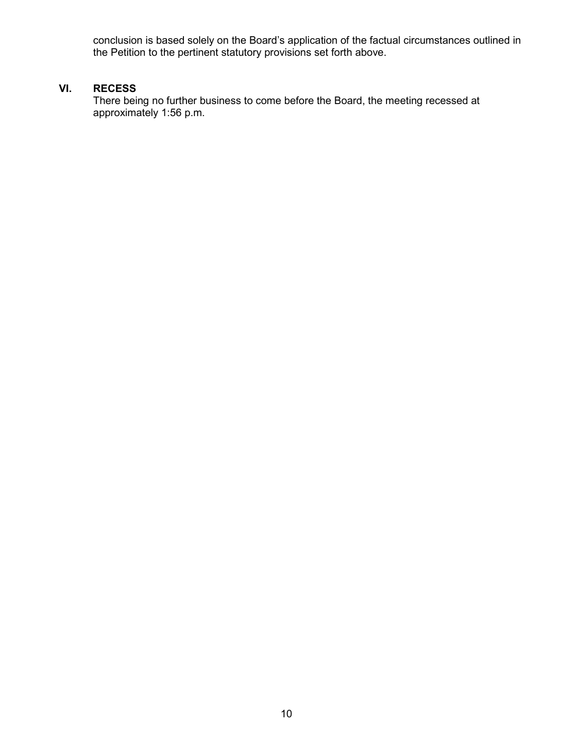conclusion is based solely on the Board's application of the factual circumstances outlined in the Petition to the pertinent statutory provisions set forth above.

## **VI. RECESS**

There being no further business to come before the Board, the meeting recessed at approximately 1:56 p.m.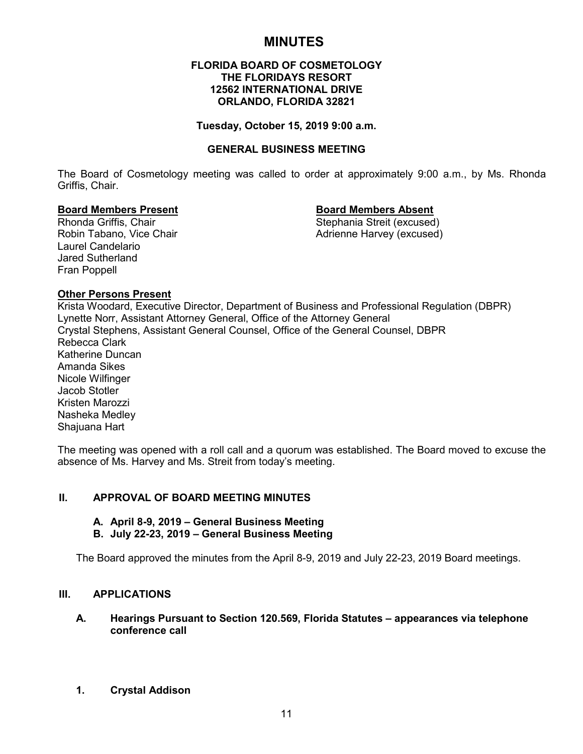# **MINUTES**

#### **FLORIDA BOARD OF COSMETOLOGY THE FLORIDAYS RESORT 12562 INTERNATIONAL DRIVE ORLANDO, FLORIDA 32821**

#### **Tuesday, October 15, 2019 9:00 a.m.**

#### **GENERAL BUSINESS MEETING**

The Board of Cosmetology meeting was called to order at approximately 9:00 a.m., by Ms. Rhonda Griffis, Chair.

#### **Board Members Present Board Members Absent**

Rhonda Griffis, Chair Stephania Streit (excused) Robin Tabano, Vice Chair **Adrienne Harvey (excused)** Adrienne Harvey (excused)

Laurel Candelario Jared Sutherland Fran Poppell

#### **Other Persons Present**

Krista Woodard, Executive Director, Department of Business and Professional Regulation (DBPR) Lynette Norr, Assistant Attorney General, Office of the Attorney General Crystal Stephens, Assistant General Counsel, Office of the General Counsel, DBPR Rebecca Clark Katherine Duncan Amanda Sikes Nicole Wilfinger Jacob Stotler Kristen Marozzi Nasheka Medley Shajuana Hart

The meeting was opened with a roll call and a quorum was established. The Board moved to excuse the absence of Ms. Harvey and Ms. Streit from today's meeting.

#### **II. APPROVAL OF BOARD MEETING MINUTES**

#### **A. April 8-9, 2019 – General Business Meeting**

#### **B. July 22-23, 2019 – General Business Meeting**

The Board approved the minutes from the April 8-9, 2019 and July 22-23, 2019 Board meetings.

#### **III. APPLICATIONS**

#### **A. Hearings Pursuant to Section 120.569, Florida Statutes – appearances via telephone conference call**

**1. Crystal Addison**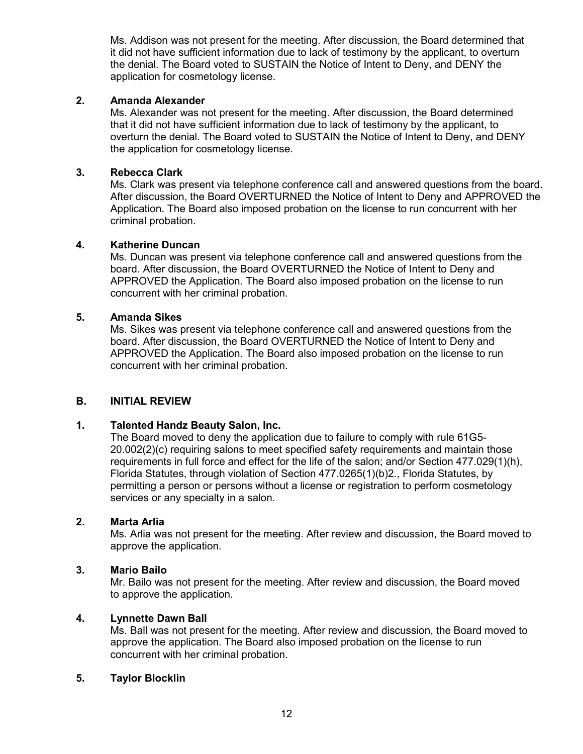Ms. Addison was not present for the meeting. After discussion, the Board determined that it did not have sufficient information due to lack of testimony by the applicant, to overturn the denial. The Board voted to SUSTAIN the Notice of Intent to Deny, and DENY the application for cosmetology license.

#### **2. Amanda Alexander**

Ms. Alexander was not present for the meeting. After discussion, the Board determined that it did not have sufficient information due to lack of testimony by the applicant, to overturn the denial. The Board voted to SUSTAIN the Notice of Intent to Deny, and DENY the application for cosmetology license.

## **3. Rebecca Clark**

Ms. Clark was present via telephone conference call and answered questions from the board. After discussion, the Board OVERTURNED the Notice of Intent to Deny and APPROVED the Application. The Board also imposed probation on the license to run concurrent with her criminal probation.

#### **4. Katherine Duncan**

Ms. Duncan was present via telephone conference call and answered questions from the board. After discussion, the Board OVERTURNED the Notice of Intent to Deny and APPROVED the Application. The Board also imposed probation on the license to run concurrent with her criminal probation.

#### **5. Amanda Sikes**

Ms. Sikes was present via telephone conference call and answered questions from the board. After discussion, the Board OVERTURNED the Notice of Intent to Deny and APPROVED the Application. The Board also imposed probation on the license to run concurrent with her criminal probation.

## **B. INITIAL REVIEW**

## **1. Talented Handz Beauty Salon, Inc.**

The Board moved to deny the application due to failure to comply with rule 61G5- 20.002(2)(c) requiring salons to meet specified safety requirements and maintain those requirements in full force and effect for the life of the salon; and/or Section 477.029(1)(h), Florida Statutes, through violation of Section 477.0265(1)(b)2., Florida Statutes, by permitting a person or persons without a license or registration to perform cosmetology services or any specialty in a salon.

#### **2. Marta Arlia**

Ms. Arlia was not present for the meeting. After review and discussion, the Board moved to approve the application.

#### **3. Mario Bailo**

Mr. Bailo was not present for the meeting. After review and discussion, the Board moved to approve the application.

#### **4. Lynnette Dawn Ball**

Ms. Ball was not present for the meeting. After review and discussion, the Board moved to approve the application. The Board also imposed probation on the license to run concurrent with her criminal probation.

#### **5. Taylor Blocklin**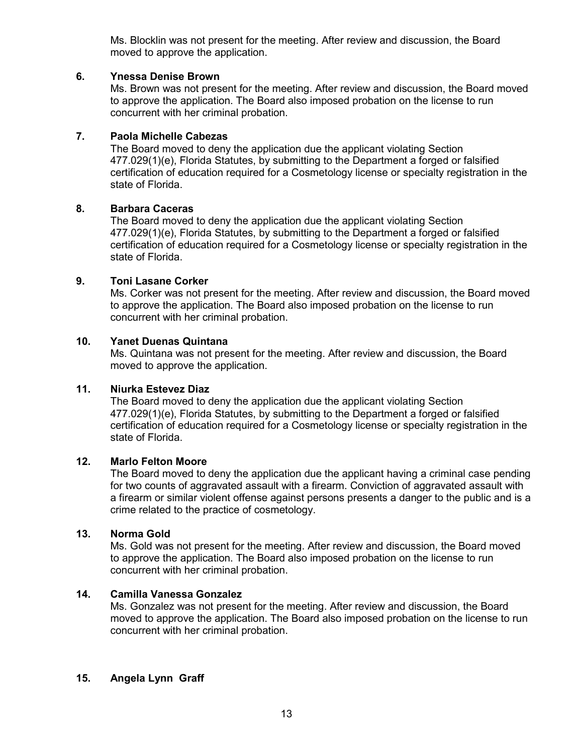Ms. Blocklin was not present for the meeting. After review and discussion, the Board moved to approve the application.

### **6. Ynessa Denise Brown**

Ms. Brown was not present for the meeting. After review and discussion, the Board moved to approve the application. The Board also imposed probation on the license to run concurrent with her criminal probation.

## **7. Paola Michelle Cabezas**

The Board moved to deny the application due the applicant violating Section 477.029(1)(e), Florida Statutes, by submitting to the Department a forged or falsified certification of education required for a Cosmetology license or specialty registration in the state of Florida.

## **8. Barbara Caceras**

The Board moved to deny the application due the applicant violating Section 477.029(1)(e), Florida Statutes, by submitting to the Department a forged or falsified certification of education required for a Cosmetology license or specialty registration in the state of Florida.

#### **9. Toni Lasane Corker**

Ms. Corker was not present for the meeting. After review and discussion, the Board moved to approve the application. The Board also imposed probation on the license to run concurrent with her criminal probation.

#### **10. Yanet Duenas Quintana**

Ms. Quintana was not present for the meeting. After review and discussion, the Board moved to approve the application.

## **11. Niurka Estevez Diaz**

The Board moved to deny the application due the applicant violating Section 477.029(1)(e), Florida Statutes, by submitting to the Department a forged or falsified certification of education required for a Cosmetology license or specialty registration in the state of Florida.

### **12. Marlo Felton Moore**

The Board moved to deny the application due the applicant having a criminal case pending for two counts of aggravated assault with a firearm. Conviction of aggravated assault with a firearm or similar violent offense against persons presents a danger to the public and is a crime related to the practice of cosmetology.

### **13. Norma Gold**

Ms. Gold was not present for the meeting. After review and discussion, the Board moved to approve the application. The Board also imposed probation on the license to run concurrent with her criminal probation.

#### **14. Camilla Vanessa Gonzalez**

Ms. Gonzalez was not present for the meeting. After review and discussion, the Board moved to approve the application. The Board also imposed probation on the license to run concurrent with her criminal probation.

## **15. Angela Lynn Graff**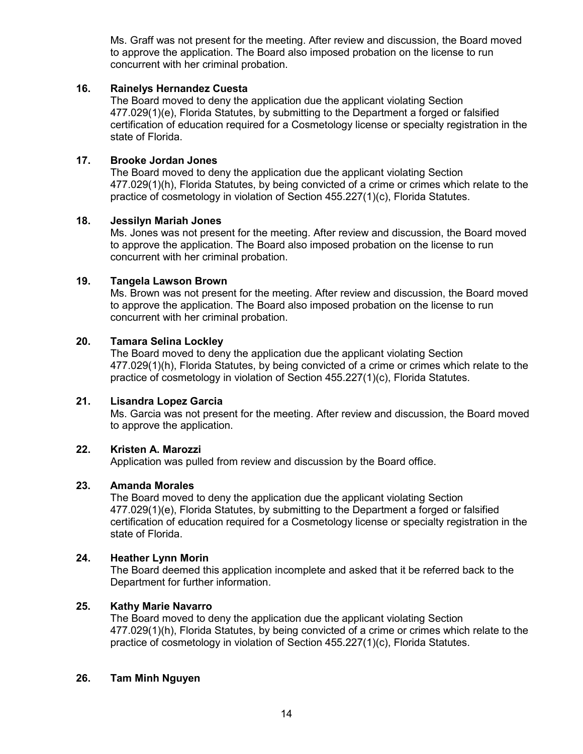Ms. Graff was not present for the meeting. After review and discussion, the Board moved to approve the application. The Board also imposed probation on the license to run concurrent with her criminal probation.

### **16. Rainelys Hernandez Cuesta**

The Board moved to deny the application due the applicant violating Section 477.029(1)(e), Florida Statutes, by submitting to the Department a forged or falsified certification of education required for a Cosmetology license or specialty registration in the state of Florida.

#### **17. Brooke Jordan Jones**

The Board moved to deny the application due the applicant violating Section 477.029(1)(h), Florida Statutes, by being convicted of a crime or crimes which relate to the practice of cosmetology in violation of Section 455.227(1)(c), Florida Statutes.

#### **18. Jessilyn Mariah Jones**

Ms. Jones was not present for the meeting. After review and discussion, the Board moved to approve the application. The Board also imposed probation on the license to run concurrent with her criminal probation.

#### **19. Tangela Lawson Brown**

Ms. Brown was not present for the meeting. After review and discussion, the Board moved to approve the application. The Board also imposed probation on the license to run concurrent with her criminal probation.

#### **20. Tamara Selina Lockley**

The Board moved to deny the application due the applicant violating Section 477.029(1)(h), Florida Statutes, by being convicted of a crime or crimes which relate to the practice of cosmetology in violation of Section 455.227(1)(c), Florida Statutes.

#### **21. Lisandra Lopez Garcia**

Ms. Garcia was not present for the meeting. After review and discussion, the Board moved to approve the application.

## **22. Kristen A. Marozzi**

Application was pulled from review and discussion by the Board office.

## **23. Amanda Morales**

The Board moved to deny the application due the applicant violating Section 477.029(1)(e), Florida Statutes, by submitting to the Department a forged or falsified certification of education required for a Cosmetology license or specialty registration in the state of Florida.

## **24. Heather Lynn Morin**

The Board deemed this application incomplete and asked that it be referred back to the Department for further information.

#### **25. Kathy Marie Navarro**

The Board moved to deny the application due the applicant violating Section 477.029(1)(h), Florida Statutes, by being convicted of a crime or crimes which relate to the practice of cosmetology in violation of Section 455.227(1)(c), Florida Statutes.

#### **26. Tam Minh Nguyen**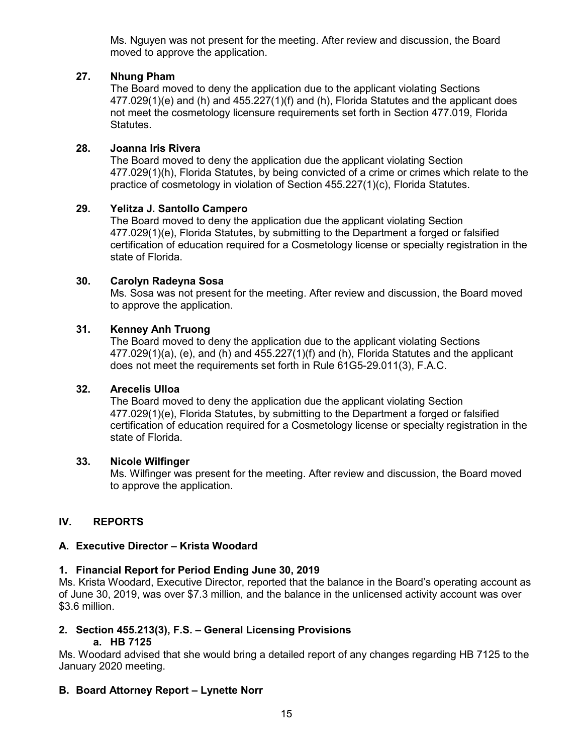Ms. Nguyen was not present for the meeting. After review and discussion, the Board moved to approve the application.

## **27. Nhung Pham**

The Board moved to deny the application due to the applicant violating Sections 477.029(1)(e) and (h) and 455.227(1)(f) and (h), Florida Statutes and the applicant does not meet the cosmetology licensure requirements set forth in Section 477.019, Florida Statutes.

## **28. Joanna Iris Rivera**

The Board moved to deny the application due the applicant violating Section 477.029(1)(h), Florida Statutes, by being convicted of a crime or crimes which relate to the practice of cosmetology in violation of Section 455.227(1)(c), Florida Statutes.

## **29. Yelitza J. Santollo Campero**

The Board moved to deny the application due the applicant violating Section 477.029(1)(e), Florida Statutes, by submitting to the Department a forged or falsified certification of education required for a Cosmetology license or specialty registration in the state of Florida.

## **30. Carolyn Radeyna Sosa**

Ms. Sosa was not present for the meeting. After review and discussion, the Board moved to approve the application.

## **31. Kenney Anh Truong**

The Board moved to deny the application due to the applicant violating Sections  $477.029(1)(a)$ , (e), and (h) and  $455.227(1)(f)$  and (h), Florida Statutes and the applicant does not meet the requirements set forth in Rule 61G5-29.011(3), F.A.C.

## **32. Arecelis Ulloa**

The Board moved to deny the application due the applicant violating Section 477.029(1)(e), Florida Statutes, by submitting to the Department a forged or falsified certification of education required for a Cosmetology license or specialty registration in the state of Florida.

## **33. Nicole Wilfinger**

Ms. Wilfinger was present for the meeting. After review and discussion, the Board moved to approve the application.

## **IV. REPORTS**

## **A. Executive Director – Krista Woodard**

## **1. Financial Report for Period Ending June 30, 2019**

Ms. Krista Woodard, Executive Director, reported that the balance in the Board's operating account as of June 30, 2019, was over \$7.3 million, and the balance in the unlicensed activity account was over \$3.6 million.

# **2. Section 455.213(3), F.S. – General Licensing Provisions**

## **a. HB 7125**

Ms. Woodard advised that she would bring a detailed report of any changes regarding HB 7125 to the January 2020 meeting.

## **B. Board Attorney Report – Lynette Norr**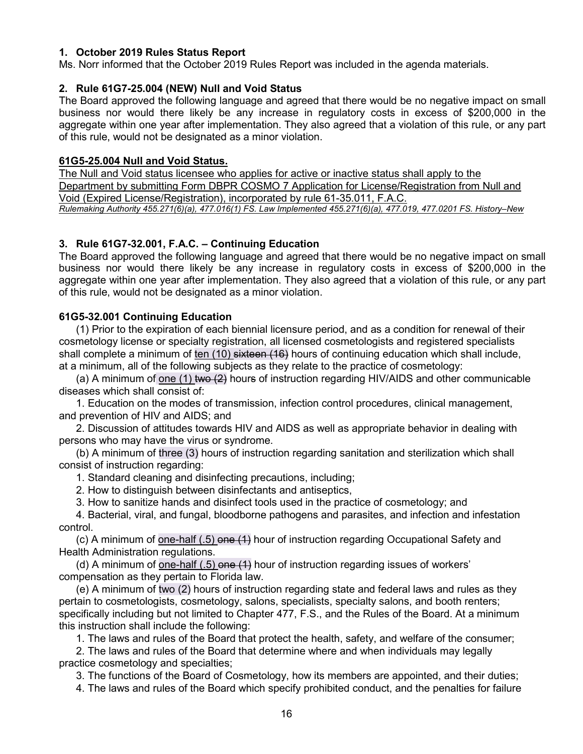#### **1. October 2019 Rules Status Report**

Ms. Norr informed that the October 2019 Rules Report was included in the agenda materials.

#### **2. Rule 61G7-25.004 (NEW) Null and Void Status**

The Board approved the following language and agreed that there would be no negative impact on small business nor would there likely be any increase in regulatory costs in excess of \$200,000 in the aggregate within one year after implementation. They also agreed that a violation of this rule, or any part of this rule, would not be designated as a minor violation.

#### **61G5-25.004 Null and Void Status.**

The Null and Void status licensee who applies for active or inactive status shall apply to the Department by submitting Form DBPR COSMO 7 Application for License/Registration from Null and Void (Expired License/Registration), incorporated by rule 61-35.011, F.A.C. *Rulemaking Authority 455.271(6)(a), 477.016(1) FS. Law Implemented 455.271(6)(a), 477.019, 477.0201 FS. History–New* 

#### **3. Rule 61G7-32.001, F.A.C. – Continuing Education**

The Board approved the following language and agreed that there would be no negative impact on small business nor would there likely be any increase in regulatory costs in excess of \$200,000 in the aggregate within one year after implementation. They also agreed that a violation of this rule, or any part of this rule, would not be designated as a minor violation.

#### **61G5-32.001 Continuing Education**

(1) Prior to the expiration of each biennial licensure period, and as a condition for renewal of their cosmetology license or specialty registration, all licensed cosmetologists and registered specialists shall complete a minimum of ten (10) sixteen (16) hours of continuing education which shall include, at a minimum, all of the following subjects as they relate to the practice of cosmetology:

(a) A minimum of one (1) two  $(2)$  hours of instruction regarding HIV/AIDS and other communicable diseases which shall consist of:

1. Education on the modes of transmission, infection control procedures, clinical management, and prevention of HIV and AIDS; and

2. Discussion of attitudes towards HIV and AIDS as well as appropriate behavior in dealing with persons who may have the virus or syndrome.

(b) A minimum of three (3) hours of instruction regarding sanitation and sterilization which shall consist of instruction regarding:

1. Standard cleaning and disinfecting precautions, including;

2. How to distinguish between disinfectants and antiseptics,

3. How to sanitize hands and disinfect tools used in the practice of cosmetology; and

4. Bacterial, viral, and fungal, bloodborne pathogens and parasites, and infection and infestation control.

(c) A minimum of one-half  $(.5)$  one  $(4)$  hour of instruction regarding Occupational Safety and Health Administration regulations.

(d) A minimum of one-half  $(.5)$  one  $(4)$  hour of instruction regarding issues of workers' compensation as they pertain to Florida law.

(e) A minimum of two (2) hours of instruction regarding state and federal laws and rules as they pertain to cosmetologists, cosmetology, salons, specialists, specialty salons, and booth renters; specifically including but not limited to Chapter 477, F.S., and the Rules of the Board. At a minimum this instruction shall include the following:

1. The laws and rules of the Board that protect the health, safety, and welfare of the consumer;

2. The laws and rules of the Board that determine where and when individuals may legally practice cosmetology and specialties;

3. The functions of the Board of Cosmetology, how its members are appointed, and their duties;

4. The laws and rules of the Board which specify prohibited conduct, and the penalties for failure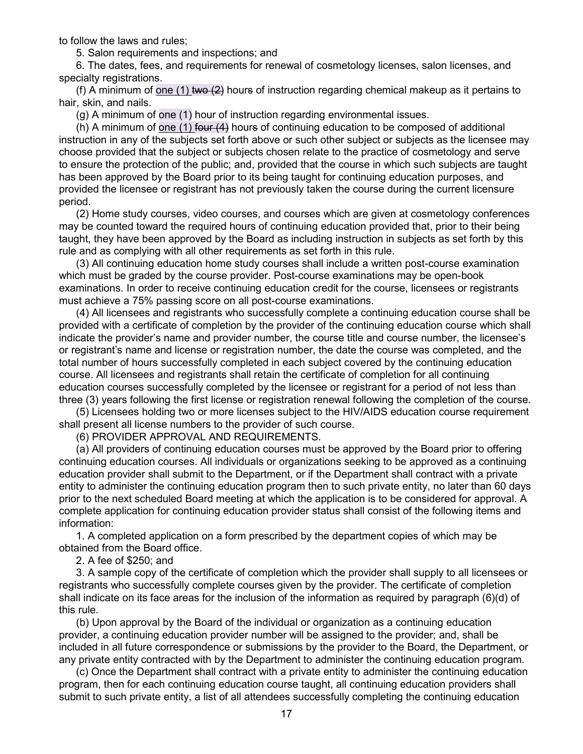to follow the laws and rules;

5. Salon requirements and inspections; and

6. The dates, fees, and requirements for renewal of cosmetology licenses, salon licenses, and specialty registrations.

(f) A minimum of one (1) two  $(2)$  hours of instruction regarding chemical makeup as it pertains to hair, skin, and nails.

(g) A minimum of one (1) hour of instruction regarding environmental issues.

(h) A minimum of one (1) four (4) hours of continuing education to be composed of additional instruction in any of the subjects set forth above or such other subject or subjects as the licensee may choose provided that the subject or subjects chosen relate to the practice of cosmetology and serve to ensure the protection of the public; and, provided that the course in which such subjects are taught has been approved by the Board prior to its being taught for continuing education purposes, and provided the licensee or registrant has not previously taken the course during the current licensure period.

(2) Home study courses, video courses, and courses which are given at cosmetology conferences may be counted toward the required hours of continuing education provided that, prior to their being taught, they have been approved by the Board as including instruction in subjects as set forth by this rule and as complying with all other requirements as set forth in this rule.

(3) All continuing education home study courses shall include a written post-course examination which must be graded by the course provider. Post-course examinations may be open-book examinations. In order to receive continuing education credit for the course, licensees or registrants must achieve a 75% passing score on all post-course examinations.

(4) All licensees and registrants who successfully complete a continuing education course shall be provided with a certificate of completion by the provider of the continuing education course which shall indicate the provider's name and provider number, the course title and course number, the licensee's or registrant's name and license or registration number, the date the course was completed, and the total number of hours successfully completed in each subject covered by the continuing education course. All licensees and registrants shall retain the certificate of completion for all continuing education courses successfully completed by the licensee or registrant for a period of not less than three (3) years following the first license or registration renewal following the completion of the course.

(5) Licensees holding two or more licenses subject to the HIV/AIDS education course requirement shall present all license numbers to the provider of such course.

(6) PROVIDER APPROVAL AND REQUIREMENTS.

(a) All providers of continuing education courses must be approved by the Board prior to offering continuing education courses. All individuals or organizations seeking to be approved as a continuing education provider shall submit to the Department, or if the Department shall contract with a private entity to administer the continuing education program then to such private entity, no later than 60 days prior to the next scheduled Board meeting at which the application is to be considered for approval. A complete application for continuing education provider status shall consist of the following items and information:

1. A completed application on a form prescribed by the department copies of which may be obtained from the Board office.

2. A fee of \$250; and

3. A sample copy of the certificate of completion which the provider shall supply to all licensees or registrants who successfully complete courses given by the provider. The certificate of completion shall indicate on its face areas for the inclusion of the information as required by paragraph (6)(d) of this rule.

(b) Upon approval by the Board of the individual or organization as a continuing education provider, a continuing education provider number will be assigned to the provider; and, shall be included in all future correspondence or submissions by the provider to the Board, the Department, or any private entity contracted with by the Department to administer the continuing education program.

(c) Once the Department shall contract with a private entity to administer the continuing education program, then for each continuing education course taught, all continuing education providers shall submit to such private entity, a list of all attendees successfully completing the continuing education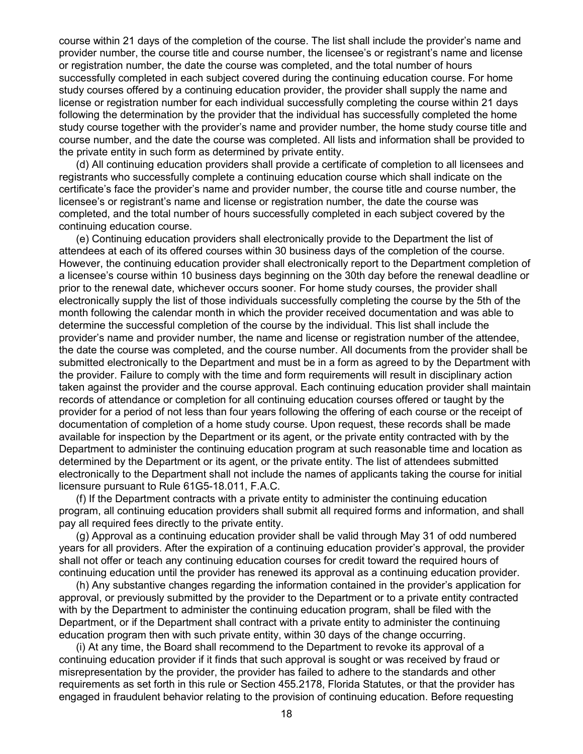course within 21 days of the completion of the course. The list shall include the provider's name and provider number, the course title and course number, the licensee's or registrant's name and license or registration number, the date the course was completed, and the total number of hours successfully completed in each subject covered during the continuing education course. For home study courses offered by a continuing education provider, the provider shall supply the name and license or registration number for each individual successfully completing the course within 21 days following the determination by the provider that the individual has successfully completed the home study course together with the provider's name and provider number, the home study course title and course number, and the date the course was completed. All lists and information shall be provided to the private entity in such form as determined by private entity.

(d) All continuing education providers shall provide a certificate of completion to all licensees and registrants who successfully complete a continuing education course which shall indicate on the certificate's face the provider's name and provider number, the course title and course number, the licensee's or registrant's name and license or registration number, the date the course was completed, and the total number of hours successfully completed in each subject covered by the continuing education course.

(e) Continuing education providers shall electronically provide to the Department the list of attendees at each of its offered courses within 30 business days of the completion of the course. However, the continuing education provider shall electronically report to the Department completion of a licensee's course within 10 business days beginning on the 30th day before the renewal deadline or prior to the renewal date, whichever occurs sooner. For home study courses, the provider shall electronically supply the list of those individuals successfully completing the course by the 5th of the month following the calendar month in which the provider received documentation and was able to determine the successful completion of the course by the individual. This list shall include the provider's name and provider number, the name and license or registration number of the attendee, the date the course was completed, and the course number. All documents from the provider shall be submitted electronically to the Department and must be in a form as agreed to by the Department with the provider. Failure to comply with the time and form requirements will result in disciplinary action taken against the provider and the course approval. Each continuing education provider shall maintain records of attendance or completion for all continuing education courses offered or taught by the provider for a period of not less than four years following the offering of each course or the receipt of documentation of completion of a home study course. Upon request, these records shall be made available for inspection by the Department or its agent, or the private entity contracted with by the Department to administer the continuing education program at such reasonable time and location as determined by the Department or its agent, or the private entity. The list of attendees submitted electronically to the Department shall not include the names of applicants taking the course for initial licensure pursuant to Rule 61G5-18.011, F.A.C.

(f) If the Department contracts with a private entity to administer the continuing education program, all continuing education providers shall submit all required forms and information, and shall pay all required fees directly to the private entity.

(g) Approval as a continuing education provider shall be valid through May 31 of odd numbered years for all providers. After the expiration of a continuing education provider's approval, the provider shall not offer or teach any continuing education courses for credit toward the required hours of continuing education until the provider has renewed its approval as a continuing education provider.

(h) Any substantive changes regarding the information contained in the provider's application for approval, or previously submitted by the provider to the Department or to a private entity contracted with by the Department to administer the continuing education program, shall be filed with the Department, or if the Department shall contract with a private entity to administer the continuing education program then with such private entity, within 30 days of the change occurring.

(i) At any time, the Board shall recommend to the Department to revoke its approval of a continuing education provider if it finds that such approval is sought or was received by fraud or misrepresentation by the provider, the provider has failed to adhere to the standards and other requirements as set forth in this rule or Section 455.2178, Florida Statutes, or that the provider has engaged in fraudulent behavior relating to the provision of continuing education. Before requesting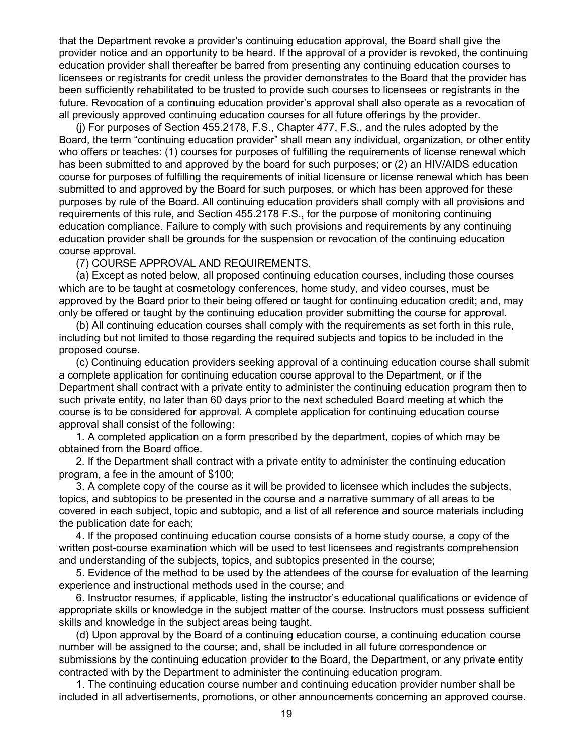that the Department revoke a provider's continuing education approval, the Board shall give the provider notice and an opportunity to be heard. If the approval of a provider is revoked, the continuing education provider shall thereafter be barred from presenting any continuing education courses to licensees or registrants for credit unless the provider demonstrates to the Board that the provider has been sufficiently rehabilitated to be trusted to provide such courses to licensees or registrants in the future. Revocation of a continuing education provider's approval shall also operate as a revocation of all previously approved continuing education courses for all future offerings by the provider.

(j) For purposes of Section 455.2178, F.S., Chapter 477, F.S., and the rules adopted by the Board, the term "continuing education provider" shall mean any individual, organization, or other entity who offers or teaches: (1) courses for purposes of fulfilling the requirements of license renewal which has been submitted to and approved by the board for such purposes; or (2) an HIV/AIDS education course for purposes of fulfilling the requirements of initial licensure or license renewal which has been submitted to and approved by the Board for such purposes, or which has been approved for these purposes by rule of the Board. All continuing education providers shall comply with all provisions and requirements of this rule, and Section 455.2178 F.S., for the purpose of monitoring continuing education compliance. Failure to comply with such provisions and requirements by any continuing education provider shall be grounds for the suspension or revocation of the continuing education course approval.

(7) COURSE APPROVAL AND REQUIREMENTS.

(a) Except as noted below, all proposed continuing education courses, including those courses which are to be taught at cosmetology conferences, home study, and video courses, must be approved by the Board prior to their being offered or taught for continuing education credit; and, may only be offered or taught by the continuing education provider submitting the course for approval.

(b) All continuing education courses shall comply with the requirements as set forth in this rule, including but not limited to those regarding the required subjects and topics to be included in the proposed course.

(c) Continuing education providers seeking approval of a continuing education course shall submit a complete application for continuing education course approval to the Department, or if the Department shall contract with a private entity to administer the continuing education program then to such private entity, no later than 60 days prior to the next scheduled Board meeting at which the course is to be considered for approval. A complete application for continuing education course approval shall consist of the following:

1. A completed application on a form prescribed by the department, copies of which may be obtained from the Board office.

2. If the Department shall contract with a private entity to administer the continuing education program, a fee in the amount of \$100;

3. A complete copy of the course as it will be provided to licensee which includes the subjects, topics, and subtopics to be presented in the course and a narrative summary of all areas to be covered in each subject, topic and subtopic, and a list of all reference and source materials including the publication date for each;

4. If the proposed continuing education course consists of a home study course, a copy of the written post-course examination which will be used to test licensees and registrants comprehension and understanding of the subjects, topics, and subtopics presented in the course;

5. Evidence of the method to be used by the attendees of the course for evaluation of the learning experience and instructional methods used in the course; and

6. Instructor resumes, if applicable, listing the instructor's educational qualifications or evidence of appropriate skills or knowledge in the subject matter of the course. Instructors must possess sufficient skills and knowledge in the subject areas being taught.

(d) Upon approval by the Board of a continuing education course, a continuing education course number will be assigned to the course; and, shall be included in all future correspondence or submissions by the continuing education provider to the Board, the Department, or any private entity contracted with by the Department to administer the continuing education program.

1. The continuing education course number and continuing education provider number shall be included in all advertisements, promotions, or other announcements concerning an approved course.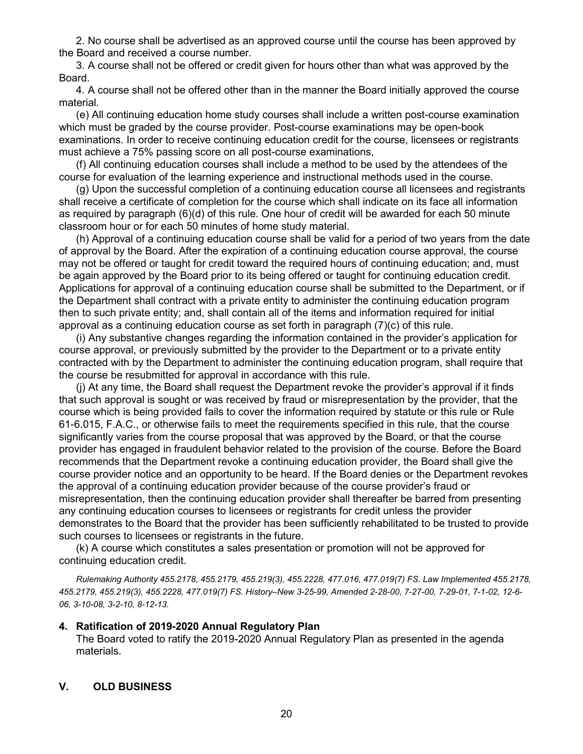2. No course shall be advertised as an approved course until the course has been approved by the Board and received a course number.

3. A course shall not be offered or credit given for hours other than what was approved by the Board.

4. A course shall not be offered other than in the manner the Board initially approved the course material.

(e) All continuing education home study courses shall include a written post-course examination which must be graded by the course provider. Post-course examinations may be open-book examinations. In order to receive continuing education credit for the course, licensees or registrants must achieve a 75% passing score on all post-course examinations,

(f) All continuing education courses shall include a method to be used by the attendees of the course for evaluation of the learning experience and instructional methods used in the course.

(g) Upon the successful completion of a continuing education course all licensees and registrants shall receive a certificate of completion for the course which shall indicate on its face all information as required by paragraph (6)(d) of this rule. One hour of credit will be awarded for each 50 minute classroom hour or for each 50 minutes of home study material.

(h) Approval of a continuing education course shall be valid for a period of two years from the date of approval by the Board. After the expiration of a continuing education course approval, the course may not be offered or taught for credit toward the required hours of continuing education; and, must be again approved by the Board prior to its being offered or taught for continuing education credit. Applications for approval of a continuing education course shall be submitted to the Department, or if the Department shall contract with a private entity to administer the continuing education program then to such private entity; and, shall contain all of the items and information required for initial approval as a continuing education course as set forth in paragraph (7)(c) of this rule.

(i) Any substantive changes regarding the information contained in the provider's application for course approval, or previously submitted by the provider to the Department or to a private entity contracted with by the Department to administer the continuing education program, shall require that the course be resubmitted for approval in accordance with this rule.

(j) At any time, the Board shall request the Department revoke the provider's approval if it finds that such approval is sought or was received by fraud or misrepresentation by the provider, that the course which is being provided fails to cover the information required by statute or this rule or Rule 61-6.015, F.A.C., or otherwise fails to meet the requirements specified in this rule, that the course significantly varies from the course proposal that was approved by the Board, or that the course provider has engaged in fraudulent behavior related to the provision of the course. Before the Board recommends that the Department revoke a continuing education provider, the Board shall give the course provider notice and an opportunity to be heard. If the Board denies or the Department revokes the approval of a continuing education provider because of the course provider's fraud or misrepresentation, then the continuing education provider shall thereafter be barred from presenting any continuing education courses to licensees or registrants for credit unless the provider demonstrates to the Board that the provider has been sufficiently rehabilitated to be trusted to provide such courses to licensees or registrants in the future.

(k) A course which constitutes a sales presentation or promotion will not be approved for continuing education credit.

*Rulemaking Authority 455.2178, 455.2179, 455.219(3), 455.2228, 477.016, 477.019(7) FS. Law Implemented 455.2178, 455.2179, 455.219(3), 455.2228, 477.019(7) FS. History–New 3-25-99, Amended 2-28-00, 7-27-00, 7-29-01, 7-1-02, 12-6- 06, 3-10-08, 3-2-10, 8-12-13.*

#### **4. Ratification of 2019-2020 Annual Regulatory Plan**

The Board voted to ratify the 2019-2020 Annual Regulatory Plan as presented in the agenda materials.

#### **V. OLD BUSINESS**